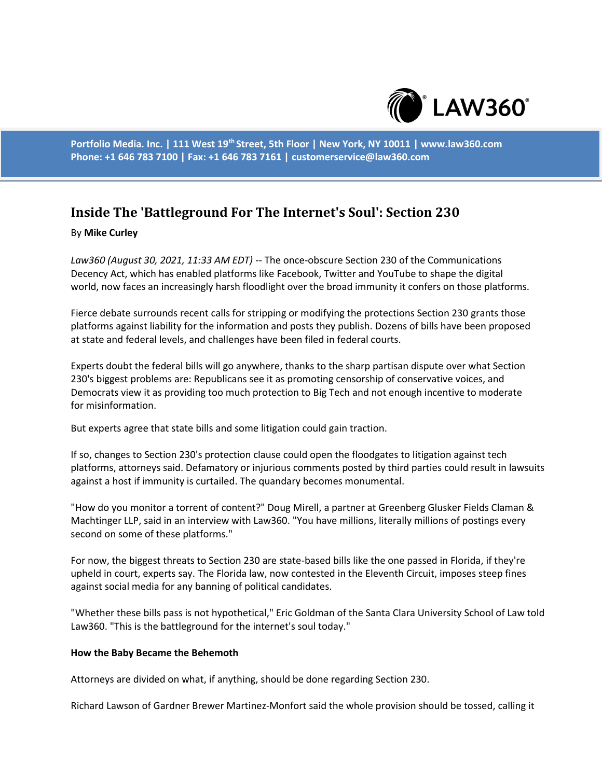

**Portfolio Media. Inc. | 111 West 19th Street, 5th Floor | New York, NY 10011 | www.law360.com Phone: +1 646 783 7100 | Fax: +1 646 783 7161 | customerservice@law360.com**

# **Inside The 'Battleground For The Internet's Soul': Section 230**

### By **Mike Curley**

*Law360 (August 30, 2021, 11:33 AM EDT)* -- The once-obscure Section 230 of the Communications Decency Act, which has enabled platforms like Facebook, Twitter and YouTube to shape the digital world, now faces an increasingly harsh floodlight over the broad immunity it confers on those platforms.

Fierce debate surrounds recent calls for stripping or modifying the protections Section 230 grants those platforms against liability for the information and posts they publish. Dozens of bills have been proposed at state and federal levels, and challenges have been filed in federal courts.

Experts doubt the federal bills will go anywhere, thanks to the sharp partisan dispute over what Section 230's biggest problems are: Republicans see it as promoting censorship of conservative voices, and Democrats view it as providing too much protection to Big Tech and not enough incentive to moderate for misinformation.

But experts agree that state bills and some litigation could gain traction.

If so, changes to Section 230's protection clause could open the floodgates to litigation against tech platforms, attorneys said. Defamatory or injurious comments posted by third parties could result in lawsuits against a host if immunity is curtailed. The quandary becomes monumental.

"How do you monitor a torrent of content?" Doug Mirell, a partner at Greenberg Glusker Fields Claman & Machtinger LLP, said in an interview with Law360. "You have millions, literally millions of postings every second on some of these platforms."

For now, the biggest threats to Section 230 are state-based bills like the one passed in Florida, if they're upheld in court, experts say. The Florida law, now contested in the Eleventh Circuit, imposes steep fines against social media for any banning of political candidates.

"Whether these bills pass is not hypothetical," Eric Goldman of the Santa Clara University School of Law told Law360. "This is the battleground for the internet's soul today."

#### **How the Baby Became the Behemoth**

Attorneys are divided on what, if anything, should be done regarding Section 230.

Richard Lawson of Gardner Brewer Martinez-Monfort said the whole provision should be tossed, calling it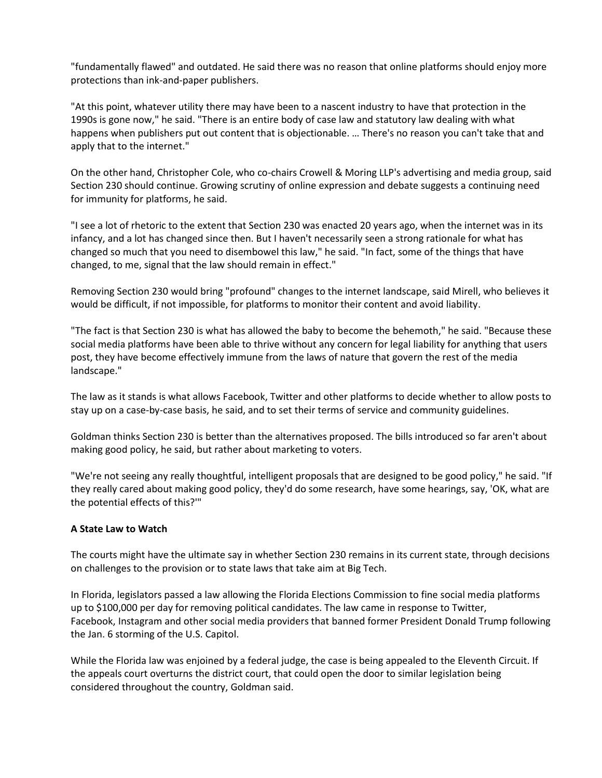"fundamentally flawed" and outdated. He said there was no reason that online platforms should enjoy more protections than ink-and-paper publishers.

"At this point, whatever utility there may have been to a nascent industry to have that protection in the 1990s is gone now," he said. "There is an entire body of case law and statutory law dealing with what happens when publishers put out content that is objectionable. … There's no reason you can't take that and apply that to the internet."

On the other hand, Christopher Cole, who co-chairs Crowell & Moring LLP's advertising and media group, said Section 230 should continue. Growing scrutiny of online expression and debate suggests a continuing need for immunity for platforms, he said.

"I see a lot of rhetoric to the extent that Section 230 was enacted 20 years ago, when the internet was in its infancy, and a lot has changed since then. But I haven't necessarily seen a strong rationale for what has changed so much that you need to disembowel this law," he said. "In fact, some of the things that have changed, to me, signal that the law should remain in effect."

Removing Section 230 would bring "profound" changes to the internet landscape, said Mirell, who believes it would be difficult, if not impossible, for platforms to monitor their content and avoid liability.

"The fact is that Section 230 is what has allowed the baby to become the behemoth," he said. "Because these social media platforms have been able to thrive without any concern for legal liability for anything that users post, they have become effectively immune from the laws of nature that govern the rest of the media landscape."

The law as it stands is what allows Facebook, Twitter and other platforms to decide whether to allow posts to stay up on a case-by-case basis, he said, and to set their terms of service and community guidelines.

Goldman thinks Section 230 is better than the alternatives proposed. The bills introduced so far aren't about making good policy, he said, but rather about marketing to voters.

"We're not seeing any really thoughtful, intelligent proposals that are designed to be good policy," he said. "If they really cared about making good policy, they'd do some research, have some hearings, say, 'OK, what are the potential effects of this?'"

## **A State Law to Watch**

The courts might have the ultimate say in whether Section 230 remains in its current state, through decisions on challenges to the provision or to state laws that take aim at Big Tech.

In Florida, legislators passed a law allowing the Florida Elections Commission to fine social media platforms up to \$100,000 per day for removing political candidates. The law came in response to Twitter, Facebook, Instagram and other social media providers that banned former President Donald Trump following the Jan. 6 storming of the U.S. Capitol.

While the Florida law was enjoined by a federal judge, the case is being appealed to the Eleventh Circuit. If the appeals court overturns the district court, that could open the door to similar legislation being considered throughout the country, Goldman said.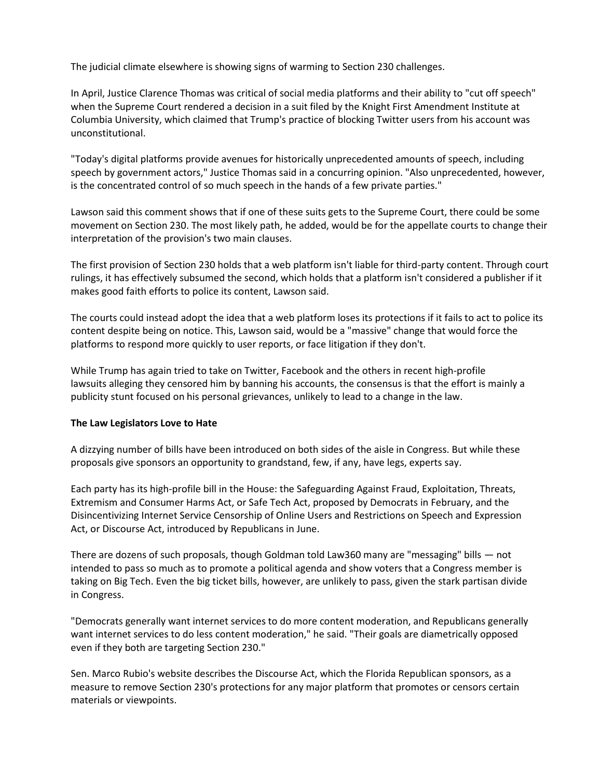The judicial climate elsewhere is showing signs of warming to Section 230 challenges.

In April, Justice Clarence Thomas was critical of social media platforms and their ability to "cut off speech" when the Supreme Court rendered a decision in a suit filed by the Knight First Amendment Institute at Columbia University, which claimed that Trump's practice of blocking Twitter users from his account was unconstitutional.

"Today's digital platforms provide avenues for historically unprecedented amounts of speech, including speech by government actors," Justice Thomas said in a concurring opinion. "Also unprecedented, however, is the concentrated control of so much speech in the hands of a few private parties."

Lawson said this comment shows that if one of these suits gets to the Supreme Court, there could be some movement on Section 230. The most likely path, he added, would be for the appellate courts to change their interpretation of the provision's two main clauses.

The first provision of Section 230 holds that a web platform isn't liable for third-party content. Through court rulings, it has effectively subsumed the second, which holds that a platform isn't considered a publisher if it makes good faith efforts to police its content, Lawson said.

The courts could instead adopt the idea that a web platform loses its protections if it fails to act to police its content despite being on notice. This, Lawson said, would be a "massive" change that would force the platforms to respond more quickly to user reports, or face litigation if they don't.

While Trump has again tried to take on Twitter, Facebook and the others in recent high-profile lawsuits alleging they censored him by banning his accounts, the consensus is that the effort is mainly a publicity stunt focused on his personal grievances, unlikely to lead to a change in the law.

## **The Law Legislators Love to Hate**

A dizzying number of bills have been introduced on both sides of the aisle in Congress. But while these proposals give sponsors an opportunity to grandstand, few, if any, have legs, experts say.

Each party has its high-profile bill in the House: the Safeguarding Against Fraud, Exploitation, Threats, Extremism and Consumer Harms Act, or Safe Tech Act, proposed by Democrats in February, and the Disincentivizing Internet Service Censorship of Online Users and Restrictions on Speech and Expression Act, or Discourse Act, introduced by Republicans in June.

There are dozens of such proposals, though Goldman told Law360 many are "messaging" bills — not intended to pass so much as to promote a political agenda and show voters that a Congress member is taking on Big Tech. Even the big ticket bills, however, are unlikely to pass, given the stark partisan divide in Congress.

"Democrats generally want internet services to do more content moderation, and Republicans generally want internet services to do less content moderation," he said. "Their goals are diametrically opposed even if they both are targeting Section 230."

Sen. Marco Rubio's website describes the Discourse Act, which the Florida Republican sponsors, as a measure to remove Section 230's protections for any major platform that promotes or censors certain materials or viewpoints.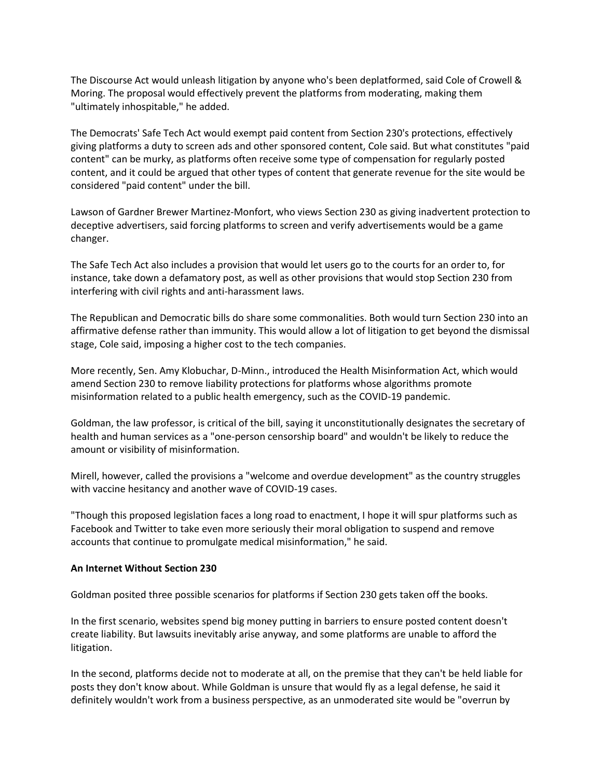The Discourse Act would unleash litigation by anyone who's been deplatformed, said Cole of Crowell & Moring. The proposal would effectively prevent the platforms from moderating, making them "ultimately inhospitable," he added.

The Democrats' Safe Tech Act would exempt paid content from Section 230's protections, effectively giving platforms a duty to screen ads and other sponsored content, Cole said. But what constitutes "paid content" can be murky, as platforms often receive some type of compensation for regularly posted content, and it could be argued that other types of content that generate revenue for the site would be considered "paid content" under the bill.

Lawson of Gardner Brewer Martinez-Monfort, who views Section 230 as giving inadvertent protection to deceptive advertisers, said forcing platforms to screen and verify advertisements would be a game changer.

The Safe Tech Act also includes a provision that would let users go to the courts for an order to, for instance, take down a defamatory post, as well as other provisions that would stop Section 230 from interfering with civil rights and anti-harassment laws.

The Republican and Democratic bills do share some commonalities. Both would turn Section 230 into an affirmative defense rather than immunity. This would allow a lot of litigation to get beyond the dismissal stage, Cole said, imposing a higher cost to the tech companies.

More recently, Sen. Amy Klobuchar, D-Minn., introduced the Health Misinformation Act, which would amend Section 230 to remove liability protections for platforms whose algorithms promote misinformation related to a public health emergency, such as the COVID-19 pandemic.

Goldman, the law professor, is critical of the bill, saying it unconstitutionally designates the secretary of health and human services as a "one-person censorship board" and wouldn't be likely to reduce the amount or visibility of misinformation.

Mirell, however, called the provisions a "welcome and overdue development" as the country struggles with vaccine hesitancy and another wave of COVID-19 cases.

"Though this proposed legislation faces a long road to enactment, I hope it will spur platforms such as Facebook and Twitter to take even more seriously their moral obligation to suspend and remove accounts that continue to promulgate medical misinformation," he said.

#### **An Internet Without Section 230**

Goldman posited three possible scenarios for platforms if Section 230 gets taken off the books.

In the first scenario, websites spend big money putting in barriers to ensure posted content doesn't create liability. But lawsuits inevitably arise anyway, and some platforms are unable to afford the litigation.

In the second, platforms decide not to moderate at all, on the premise that they can't be held liable for posts they don't know about. While Goldman is unsure that would fly as a legal defense, he said it definitely wouldn't work from a business perspective, as an unmoderated site would be "overrun by